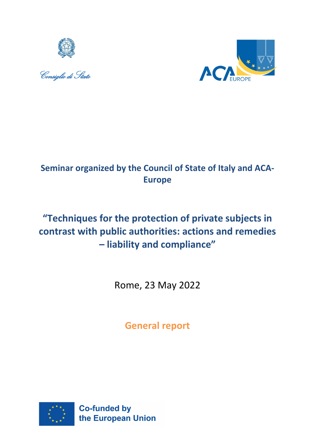





# **Seminar organized by the Council of State of Italy and ACA-Europe**

# **"Techniques for the protection of private subjects in contrast with public authorities: actions and remedies – liability and compliance"**

Rome, 23 May 2022

**General report**

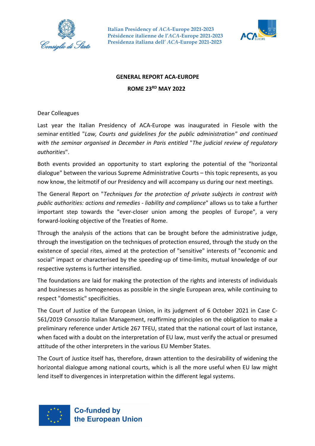



#### **GENERAL REPORT ACA-EUROPE**

**ROME 23RD MAY 2022**

Dear Colleagues

Last year the Italian Presidency of ACA-Europe was inaugurated in Fiesole with the seminar entitled "*Law, Courts and guidelines for the public administration" and continued with the seminar organised in December in Paris entitled* "*The judicial review of regulatory authorities*".

Both events provided an opportunity to start exploring the potential of the "horizontal dialogue" between the various Supreme Administrative Courts – this topic represents, as you now know, the leitmotif of our Presidency and will accompany us during our next meetings.

The General Report on "*Techniques for the protection of private subjects in contrast with public authorities: actions and remedies - liability and compliance*" allows us to take a further important step towards the "ever-closer union among the peoples of Europe", a very forward-looking objective of the Treaties of Rome.

Through the analysis of the actions that can be brought before the administrative judge, through the investigation on the techniques of protection ensured, through the study on the existence of special rites, aimed at the protection of "sensitive" interests of "economic and social" impact or characterised by the speeding-up of time-limits, mutual knowledge of our respective systems is further intensified.

The foundations are laid for making the protection of the rights and interests of individuals and businesses as homogeneous as possible in the single European area, while continuing to respect "domestic" specificities.

The Court of Justice of the European Union, in its judgment of 6 October 2021 in Case C-561/2019 Consorzio Italian Management, reaffirming principles on the obligation to make a preliminary reference under Article 267 TFEU, stated that the national court of last instance, when faced with a doubt on the interpretation of EU law, must verify the actual or presumed attitude of the other interpreters in the various EU Member States.

The Court of Justice itself has, therefore, drawn attention to the desirability of widening the horizontal dialogue among national courts, which is all the more useful when EU law might lend itself to divergences in interpretation within the different legal systems.

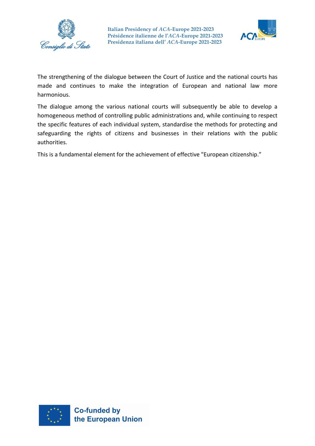



The strengthening of the dialogue between the Court of Justice and the national courts has made and continues to make the integration of European and national law more harmonious.

The dialogue among the various national courts will subsequently be able to develop a homogeneous method of controlling public administrations and, while continuing to respect the specific features of each individual system, standardise the methods for protecting and safeguarding the rights of citizens and businesses in their relations with the public authorities.

This is a fundamental element for the achievement of effective "European citizenship."

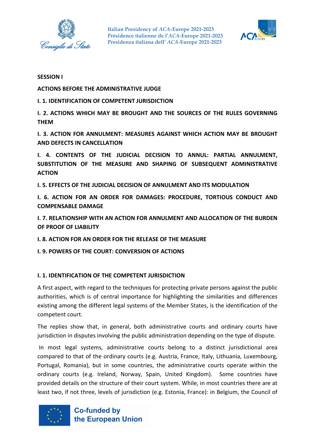



#### **SESSION I**

**ACTIONS BEFORE THE ADMINISTRATIVE JUDGE**

**I. 1. IDENTIFICATION OF COMPETENT JURISDICTION** 

**I. 2. ACTIONS WHICH MAY BE BROUGHT AND THE SOURCES OF THE RULES GOVERNING THEM**

**I. 3. ACTION FOR ANNULMENT: MEASURES AGAINST WHICH ACTION MAY BE BROUGHT AND DEFECTS IN CANCELLATION**

**I. 4. CONTENTS OF THE JUDICIAL DECISION TO ANNUL: PARTIAL ANNULMENT, SUBSTITUTION OF THE MEASURE AND SHAPING OF SUBSEQUENT ADMINISTRATIVE ACTION**

**I. 5. EFFECTS OF THE JUDICIAL DECISION OF ANNULMENT AND ITS MODULATION**

**I. 6. ACTION FOR AN ORDER FOR DAMAGES: PROCEDURE, TORTIOUS CONDUCT AND COMPENSABLE DAMAGE**

**I. 7. RELATIONSHIP WITH AN ACTION FOR ANNULMENT AND ALLOCATION OF THE BURDEN OF PROOF OF LIABILITY** 

**I. 8. ACTION FOR AN ORDER FOR THE RELEASE OF THE MEASURE**

**I. 9. POWERS OF THE COURT: CONVERSION OF ACTIONS** 

#### **I. 1. IDENTIFICATION OF THE COMPETENT JURISDICTION**

A first aspect, with regard to the techniques for protecting private persons against the public authorities, which is of central importance for highlighting the similarities and differences existing among the different legal systems of the Member States, is the identification of the competent court.

The replies show that, in general, both administrative courts and ordinary courts have jurisdiction in disputes involving the public administration depending on the type of dispute.

In most legal systems, administrative courts belong to a distinct jurisdictional area compared to that of the ordinary courts (e.g. Austria, France, Italy, Lithuania, Luxembourg, Portugal, Romania), but in some countries, the administrative courts operate within the ordinary courts (e.g. Ireland, Norway, Spain, United Kingdom). Some countries have provided details on the structure of their court system. While, in most countries there are at least two, if not three, levels of jurisdiction (e.g. Estonia, France): in Belgium, the Council of

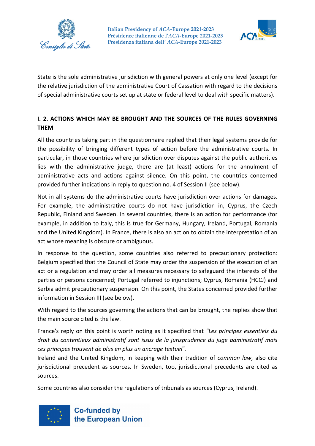



State is the sole administrative jurisdiction with general powers at only one level (except for the relative jurisdiction of the administrative Court of Cassation with regard to the decisions of special administrative courts set up at state or federal level to deal with specific matters).

# **I. 2. ACTIONS WHICH MAY BE BROUGHT AND THE SOURCES OF THE RULES GOVERNING THEM**

All the countries taking part in the questionnaire replied that their legal systems provide for the possibility of bringing different types of action before the administrative courts. In particular, in those countries where jurisdiction over disputes against the public authorities lies with the administrative judge, there are (at least) actions for the annulment of administrative acts and actions against silence. On this point, the countries concerned provided further indications in reply to question no. 4 of Session II (see below).

Not in all systems do the administrative courts have jurisdiction over actions for damages. For example, the administrative courts do not have jurisdiction in, Cyprus, the Czech Republic, Finland and Sweden. In several countries, there is an action for performance (for example, in addition to Italy, this is true for Germany, Hungary, Ireland, Portugal, Romania and the United Kingdom). In France, there is also an action to obtain the interpretation of an act whose meaning is obscure or ambiguous.

In response to the question, some countries also referred to precautionary protection: Belgium specified that the Council of State may order the suspension of the execution of an act or a regulation and may order all measures necessary to safeguard the interests of the parties or persons concerned; Portugal referred to injunctions; Cyprus, Romania (HCCJ) and Serbia admit precautionary suspension. On this point, the States concerned provided further information in Session III (see below).

With regard to the sources governing the actions that can be brought, the replies show that the main source cited is the law.

France's reply on this point is worth noting as it specified that *"Les principes essentiels du droit du contentieux administratif sont issus de la jurisprudence du juge administratif mais ces principes trouvent de plus en plus un ancrage textuel*".

Ireland and the United Kingdom, in keeping with their tradition of *common law,* also cite jurisdictional precedent as sources. In Sweden, too, jurisdictional precedents are cited as sources.

Some countries also consider the regulations of tribunals as sources (Cyprus, Ireland).

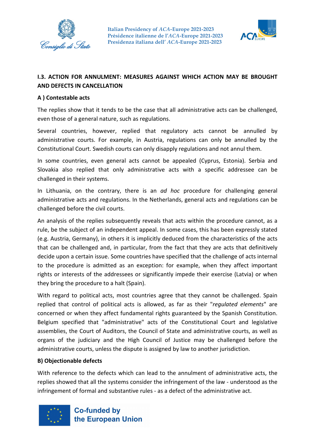



# **I.3. ACTION FOR ANNULMENT: MEASURES AGAINST WHICH ACTION MAY BE BROUGHT AND DEFECTS IN CANCELLATION**

#### **A ) Contestable acts**

The replies show that it tends to be the case that all administrative acts can be challenged, even those of a general nature, such as regulations.

Several countries, however, replied that regulatory acts cannot be annulled by administrative courts. For example, in Austria, regulations can only be annulled by the Constitutional Court. Swedish courts can only disapply regulations and not annul them.

In some countries, even general acts cannot be appealed (Cyprus, Estonia). Serbia and Slovakia also replied that only administrative acts with a specific addressee can be challenged in their systems.

In Lithuania, on the contrary, there is an *ad hoc* procedure for challenging general administrative acts and regulations. In the Netherlands, general acts and regulations can be challenged before the civil courts.

An analysis of the replies subsequently reveals that acts within the procedure cannot, as a rule, be the subject of an independent appeal. In some cases, this has been expressly stated (e.g. Austria, Germany), in others it is implicitly deduced from the characteristics of the acts that can be challenged and, in particular, from the fact that they are acts that definitively decide upon a certain issue. Some countries have specified that the challenge of acts internal to the procedure is admitted as an exception: for example, when they affect important rights or interests of the addressees or significantly impede their exercise (Latvia) or when they bring the procedure to a halt (Spain).

With regard to political acts, most countries agree that they cannot be challenged. Spain replied that control of political acts is allowed, as far as their "*regulated elements*" are concerned or when they affect fundamental rights guaranteed by the Spanish Constitution. Belgium specified that "administrative" acts of the Constitutional Court and legislative assemblies, the Court of Auditors, the Council of State and administrative courts, as well as organs of the judiciary and the High Council of Justice may be challenged before the administrative courts, unless the dispute is assigned by law to another jurisdiction.

#### **B) Objectionable defects**

With reference to the defects which can lead to the annulment of administrative acts, the replies showed that all the systems consider the infringement of the law - understood as the infringement of formal and substantive rules - as a defect of the administrative act.

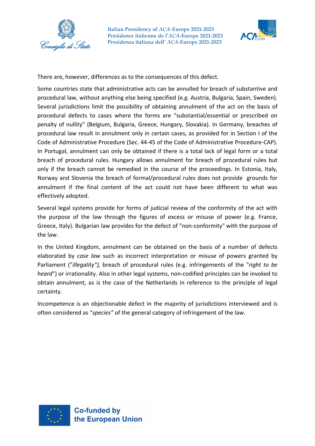



There are, however, differences as to the consequences of this defect.

Some countries state that administrative acts can be annulled for breach of substantive and procedural law, without anything else being specified (e.g. Austria, Bulgaria, Spain, Sweden). Several jurisdictions limit the possibility of obtaining annulment of the act on the basis of procedural defects to cases where the forms are "substantial/essential or prescribed on penalty of nullity" (Belgium, Bulgaria, Greece, Hungary, Slovakia). In Germany, breaches of procedural law result in annulment only in certain cases, as provided for in Section I of the Code of Administrative Procedure (Sec. 44-45 of the Code of Administrative Procedure-CAP). In Portugal, annulment can only be obtained if there is a total lack of legal form or a total breach of procedural rules. Hungary allows annulment for breach of procedural rules but only if the breach cannot be remedied in the course of the proceedings. In Estonia, Italy, Norway and Slovenia the breach of formal/procedural rules does not provide grounds for annulment if the final content of the act could not have been different to what was effectively adopted.

Several legal systems provide for forms of judicial review of the conformity of the act with the purpose of the law through the figures of excess or misuse of power (e.g. France, Greece, Italy). Bulgarian law provides for the defect of "non-conformity" with the purpose of the law.

In the United Kingdom, annulment can be obtained on the basis of a number of defects elaborated by *case law* such as incorrect interpretation or misuse of powers granted by Parliament ("*illegality"),* breach of procedural rules (e.g. infringements of the "*right to be heard*") or irrationality. Also in other legal systems, non-codified principles can be invoked to obtain annulment, as is the case of the Netherlands in reference to the principle of legal certainty.

Incompetence is an objectionable defect in the majority of jurisdictions interviewed and is often considered as "*species"* of the general category of infringement of the law.

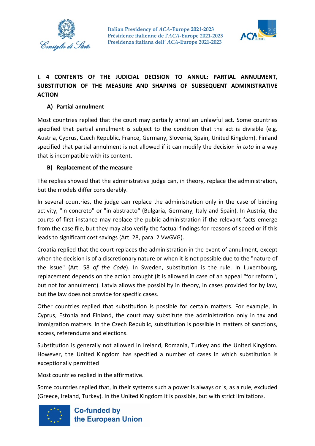



# **I. 4 CONTENTS OF THE JUDICIAL DECISION TO ANNUL: PARTIAL ANNULMENT, SUBSTITUTION OF THE MEASURE AND SHAPING OF SUBSEQUENT ADMINISTRATIVE ACTION**

## **A) Partial annulment**

Most countries replied that the court may partially annul an unlawful act. Some countries specified that partial annulment is subject to the condition that the act is divisible (e.g. Austria, Cyprus, Czech Republic, France, Germany, Slovenia, Spain, United Kingdom). Finland specified that partial annulment is not allowed if it can modify the decision *in toto* in a way that is incompatible with its content.

## **B) Replacement of the measure**

The replies showed that the administrative judge can, in theory, replace the administration, but the models differ considerably.

In several countries, the judge can replace the administration only in the case of binding activity, "in concreto" or "in abstracto" (Bulgaria, Germany, Italy and Spain). In Austria, the courts of first instance may replace the public administration if the relevant facts emerge from the case file, but they may also verify the factual findings for reasons of speed or if this leads to significant cost savings (Art. 28, para. 2 VwGVG).

Croatia replied that the court replaces the administration in the event of annulment, except when the decision is of a discretionary nature or when it is not possible due to the "nature of the issue" (Art. 58 *of the Code*). In Sweden, substitution is the rule. In Luxembourg, replacement depends on the action brought (it is allowed in case of an appeal "for reform", but not for annulment). Latvia allows the possibility in theory, in cases provided for by law, but the law does not provide for specific cases.

Other countries replied that substitution is possible for certain matters. For example, in Cyprus, Estonia and Finland, the court may substitute the administration only in tax and immigration matters. In the Czech Republic, substitution is possible in matters of sanctions, access, referendums and elections.

Substitution is generally not allowed in Ireland, Romania, Turkey and the United Kingdom. However, the United Kingdom has specified a number of cases in which substitution is exceptionally permitted

Most countries replied in the affirmative.

Some countries replied that, in their systems such a power is always or is, as a rule, excluded (Greece, Ireland, Turkey). In the United Kingdom it is possible, but with strict limitations.

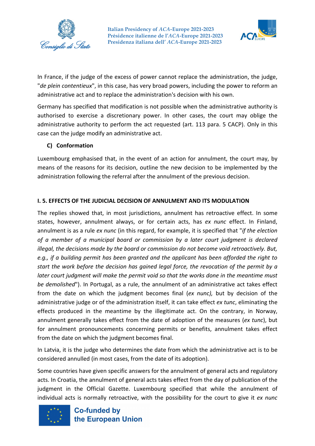



In France, if the judge of the excess of power cannot replace the administration, the judge, "*de plein contentieux*", in this case, has very broad powers, including the power to reform an administrative act and to replace the administration's decision with his own.

Germany has specified that modification is not possible when the administrative authority is authorised to exercise a discretionary power. In other cases, the court may oblige the administrative authority to perform the act requested (art. 113 para. 5 CACP). Only in this case can the judge modify an administrative act.

### **C) Conformation**

Luxembourg emphasised that, in the event of an action for annulment, the court may, by means of the reasons for its decision, outline the new decision to be implemented by the administration following the referral after the annulment of the previous decision.

### **I. 5. EFFECTS OF THE JUDICIAL DECISION OF ANNULMENT AND ITS MODULATION**

The replies showed that, in most jurisdictions, annulment has retroactive effect. In some states, however, annulment always, or for certain acts, has *ex nunc* effect. In Finland, annulment is as a rule *ex nunc* (in this regard, for example, it is specified that "*if the election of a member of a municipal board or commission by a later court judgment is declared illegal, the decisions made by the board or commission do not become void retroactively. But, e.g., if a building permit has been granted and the applicant has been afforded the right to start the work before the decision has gained legal force, the revocation of the permit by a later court judgment will make the permit void so that the works done in the meantime must be demolished*"). In Portugal, as a rule, the annulment of an administrative act takes effect from the date on which the judgment becomes final (*ex nunc),* but by decision of the administrative judge or of the administration itself, it can take effect *ex tunc*, eliminating the effects produced in the meantime by the illegitimate act. On the contrary, in Norway, annulment generally takes effect from the date of adoption of the measures (*ex tunc*), but for annulment pronouncements concerning permits or benefits, annulment takes effect from the date on which the judgment becomes final.

In Latvia, it is the judge who determines the date from which the administrative act is to be considered annulled (in most cases, from the date of its adoption).

Some countries have given specific answers for the annulment of general acts and regulatory acts. In Croatia, the annulment of general acts takes effect from the day of publication of the judgment in the Official Gazette. Luxembourg specified that while the annulment of individual acts is normally retroactive, with the possibility for the court to give it *ex nunc*

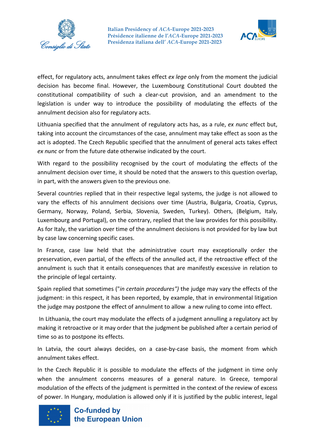



effect, for regulatory acts, annulment takes effect *ex lege* only from the moment the judicial decision has become final. However, the Luxembourg Constitutional Court doubted the constitutional compatibility of such a clear-cut provision, and an amendment to the legislation is under way to introduce the possibility of modulating the effects of the annulment decision also for regulatory acts.

Lithuania specified that the annulment of regulatory acts has, as a rule, *ex nunc* effect but, taking into account the circumstances of the case, annulment may take effect as soon as the act is adopted. The Czech Republic specified that the annulment of general acts takes effect *ex nunc* or from the future date otherwise indicated by the court.

With regard to the possibility recognised by the court of modulating the effects of the annulment decision over time, it should be noted that the answers to this question overlap, in part, with the answers given to the previous one.

Several countries replied that in their respective legal systems, the judge is not allowed to vary the effects of his annulment decisions over time (Austria, Bulgaria, Croatia, Cyprus, Germany, Norway, Poland, Serbia, Slovenia, Sweden, Turkey). Others, (Belgium, Italy, Luxembourg and Portugal), on the contrary, replied that the law provides for this possibility. As for Italy, the variation over time of the annulment decisions is not provided for by law but by case law concerning specific cases.

In France, case law held that the administrative court may exceptionally order the preservation, even partial, of the effects of the annulled act, if the retroactive effect of the annulment is such that it entails consequences that are manifestly excessive in relation to the principle of legal certainty.

Spain replied that sometimes ("*in certain procedures")* the judge may vary the effects of the judgment: in this respect, it has been reported, by example, that in environmental litigation the judge may postpone the effect of annulment to allow a new ruling to come into effect.

In Lithuania, the court may modulate the effects of a judgment annulling a regulatory act by making it retroactive or it may order that the judgment be published after a certain period of time so as to postpone its effects.

In Latvia, the court always decides, on a case-by-case basis, the moment from which annulment takes effect.

In the Czech Republic it is possible to modulate the effects of the judgment in time only when the annulment concerns measures of a general nature. In Greece, temporal modulation of the effects of the judgment is permitted in the context of the review of excess of power. In Hungary, modulation is allowed only if it is justified by the public interest, legal

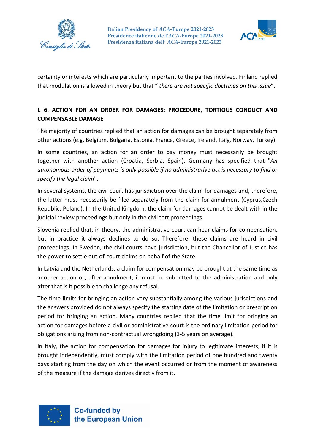



certainty or interests which are particularly important to the parties involved. Finland replied that modulation is allowed in theory but that " *there are not specific doctrines on this issue*".

# **I. 6. ACTION FOR AN ORDER FOR DAMAGES: PROCEDURE, TORTIOUS CONDUCT AND COMPENSABLE DAMAGE**

The majority of countries replied that an action for damages can be brought separately from other actions (e.g. Belgium, Bulgaria, Estonia, France, Greece, Ireland, Italy, Norway, Turkey).

In some countries, an action for an order to pay money must necessarily be brought together with another action (Croatia, Serbia, Spain). Germany has specified that "*An autonomous order of payments is only possible if no administrative act is necessary to find or specify the legal claim*".

In several systems, the civil court has jurisdiction over the claim for damages and, therefore, the latter must necessarily be filed separately from the claim for annulment (Cyprus,Czech Republic, Poland). In the United Kingdom, the claim for damages cannot be dealt with in the judicial review proceedings but only in the civil tort proceedings.

Slovenia replied that, in theory, the administrative court can hear claims for compensation, but in practice it always declines to do so. Therefore, these claims are heard in civil proceedings. In Sweden, the civil courts have jurisdiction, but the Chancellor of Justice has the power to settle out-of-court claims on behalf of the State.

In Latvia and the Netherlands, a claim for compensation may be brought at the same time as another action or, after annulment, it must be submitted to the administration and only after that is it possible to challenge any refusal.

The time limits for bringing an action vary substantially among the various jurisdictions and the answers provided do not always specify the starting date of the limitation or prescription period for bringing an action. Many countries replied that the time limit for bringing an action for damages before a civil or administrative court is the ordinary limitation period for obligations arising from non-contractual wrongdoing (3-5 years on average).

In Italy, the action for compensation for damages for injury to legitimate interests, if it is brought independently, must comply with the limitation period of one hundred and twenty days starting from the day on which the event occurred or from the moment of awareness of the measure if the damage derives directly from it.

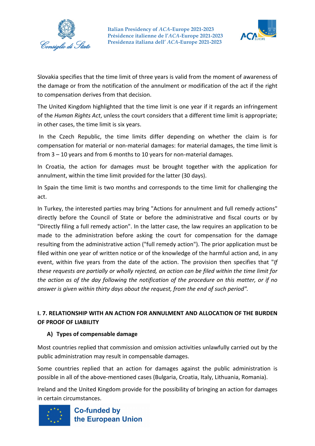



Slovakia specifies that the time limit of three years is valid from the moment of awareness of the damage or from the notification of the annulment or modification of the act if the right to compensation derives from that decision.

The United Kingdom highlighted that the time limit is one year if it regards an infringement of the *Human Rights Act*, unless the court considers that a different time limit is appropriate; in other cases, the time limit is six years.

In the Czech Republic, the time limits differ depending on whether the claim is for compensation for material or non-material damages: for material damages, the time limit is from 3 – 10 years and from 6 months to 10 years for non-material damages.

In Croatia, the action for damages must be brought together with the application for annulment, within the time limit provided for the latter (30 days).

In Spain the time limit is two months and corresponds to the time limit for challenging the act.

In Turkey, the interested parties may bring "Actions for annulment and full remedy actions" directly before the Council of State or before the administrative and fiscal courts or by "Directly filing a full remedy action". In the latter case, the law requires an application to be made to the administration before asking the court for compensation for the damage resulting from the administrative action ("full remedy action"). The prior application must be filed within one year of written notice or of the knowledge of the harmful action and, in any event, within five years from the date of the action. The provision then specifies that "*If these requests are partially or wholly rejected, an action can be filed within the time limit for the action as of the day following the notification of the procedure on this matter, or if no answer is given within thirty days about the request, from the end of such period".*

# **I. 7. RELATIONSHIP WITH AN ACTION FOR ANNULMENT AND ALLOCATION OF THE BURDEN OF PROOF OF LIABILITY**

## **A) Types of compensable damage**

Most countries replied that commission and omission activities unlawfully carried out by the public administration may result in compensable damages.

Some countries replied that an action for damages against the public administration is possible in all of the above-mentioned cases (Bulgaria, Croatia, Italy, Lithuania, Romania).

Ireland and the United Kingdom provide for the possibility of bringing an action for damages in certain circumstances.

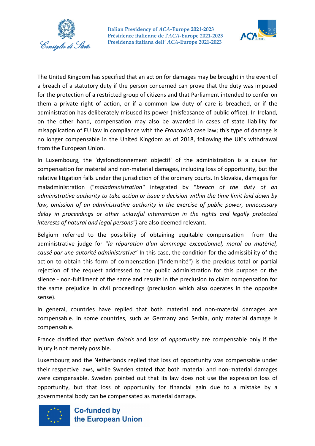



The United Kingdom has specified that an action for damages may be brought in the event of a breach of a statutory duty if the person concerned can prove that the duty was imposed for the protection of a restricted group of citizens and that Parliament intended to confer on them a private right of action, or if a common law duty of care is breached, or if the administration has deliberately misused its power (misfeasance of public office). In Ireland, on the other hand, compensation may also be awarded in cases of state liability for misapplication of EU law in compliance with the *Francovich* case law; this type of damage is no longer compensable in the United Kingdom as of 2018, following the UK's withdrawal from the European Union.

In Luxembourg, the 'dysfonctionnement objectif' of the administration is a cause for compensation for material and non-material damages, including loss of opportunity, but the relative litigation falls under the jurisdiction of the ordinary courts. In Slovakia, damages for maladministration ("*maladministration"* integrated by "*breach of the duty of an administrative authority to take action or issue a decision within the time limit laid down by law, omission of an administrative authority in the exercise of public power, unnecessary delay in proceedings or other unlawful intervention in the rights and legally protected interests of natural and legal persons")* are also deemed relevant.

Belgium referred to the possibility of obtaining equitable compensation from the administrative judge for "*la réparation d'un dommage exceptionnel, moral ou matériel, causé par une autorité administrative*" In this case, the condition for the admissibility of the action to obtain this form of compensation ("indemnité") is the previous total or partial rejection of the request addressed to the public administration for this purpose or the silence - non-fulfilment of the same and results in the preclusion to claim compensation for the same prejudice in civil proceedings (preclusion which also operates in the opposite sense).

In general, countries have replied that both material and non-material damages are compensable. In some countries, such as Germany and Serbia, only material damage is compensable.

France clarified that *pretium doloris* and loss of *opportunity* are compensable only if the injury is not merely possible.

Luxembourg and the Netherlands replied that loss of opportunity was compensable under their respective laws, while Sweden stated that both material and non-material damages were compensable. Sweden pointed out that its law does not use the expression loss of opportunity, but that loss of opportunity for financial gain due to a mistake by a governmental body can be compensated as material damage.

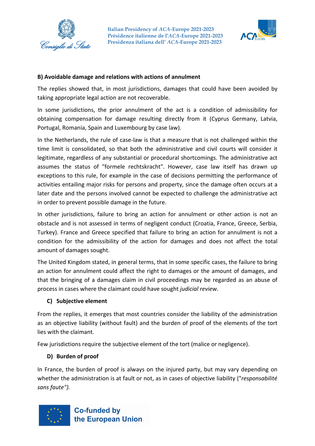



#### **B) Avoidable damage and relations with actions of annulment**

The replies showed that, in most jurisdictions, damages that could have been avoided by taking appropriate legal action are not recoverable.

In some jurisdictions, the prior annulment of the act is a condition of admissibility for obtaining compensation for damage resulting directly from it (Cyprus Germany, Latvia, Portugal, Romania, Spain and Luxembourg by case law).

In the Netherlands, the rule of case-law is that a measure that is not challenged within the time limit is consolidated, so that both the administrative and civil courts will consider it legitimate, regardless of any substantial or procedural shortcomings. The administrative act assumes the status of "formele rechtskracht". However, case law itself has drawn up exceptions to this rule, for example in the case of decisions permitting the performance of activities entailing major risks for persons and property, since the damage often occurs at a later date and the persons involved cannot be expected to challenge the administrative act in order to prevent possible damage in the future.

In other jurisdictions, failure to bring an action for annulment or other action is not an obstacle and is not assessed in terms of negligent conduct (Croatia, France, Greece, Serbia, Turkey). France and Greece specified that failure to bring an action for annulment is not a condition for the admissibility of the action for damages and does not affect the total amount of damages sought.

The United Kingdom stated, in general terms, that in some specific cases, the failure to bring an action for annulment could affect the right to damages or the amount of damages, and that the bringing of a damages claim in civil proceedings may be regarded as an abuse of process in cases where the claimant could have sought *judicial review*.

## **C) Subjective element**

From the replies, it emerges that most countries consider the liability of the administration as an objective liability (without fault) and the burden of proof of the elements of the tort lies with the claimant.

Few jurisdictions require the subjective element of the tort (malice or negligence).

#### **D) Burden of proof**

In France, the burden of proof is always on the injured party, but may vary depending on whether the administration is at fault or not, as in cases of objective liability ("*responsabilité sans faute").*

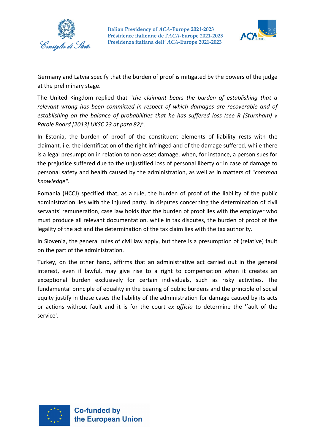



Germany and Latvia specify that the burden of proof is mitigated by the powers of the judge at the preliminary stage.

The United Kingdom replied that "*the claimant bears the burden of establishing that a relevant wrong has been committed in respect of which damages are recoverable and of establishing on the balance of probabilities that he has suffered loss (see R (Sturnham) v Parole Board [2013] UKSC 23 at para 82)".*

In Estonia, the burden of proof of the constituent elements of liability rests with the claimant*,* i.e. the identification of the right infringed and of the damage suffered, while there is a legal presumption in relation to non-asset damage, when, for instance, a person sues for the prejudice suffered due to the unjustified loss of personal liberty or in case of damage to personal safety and health caused by the administration, as well as in matters of "*common knowledge".*

Romania (HCCJ) specified that, as a rule, the burden of proof of the liability of the public administration lies with the injured party. In disputes concerning the determination of civil servants' remuneration, case law holds that the burden of proof lies with the employer who must produce all relevant documentation, while in tax disputes, the burden of proof of the legality of the act and the determination of the tax claim lies with the tax authority.

In Slovenia, the general rules of civil law apply, but there is a presumption of (relative) fault on the part of the administration.

Turkey, on the other hand, affirms that an administrative act carried out in the general interest, even if lawful, may give rise to a right to compensation when it creates an exceptional burden exclusively for certain individuals, such as risky activities. The fundamental principle of equality in the bearing of public burdens and the principle of social equity justify in these cases the liability of the administration for damage caused by its acts or actions without fault and it is for the court *ex officio* to determine the 'fault of the service'.

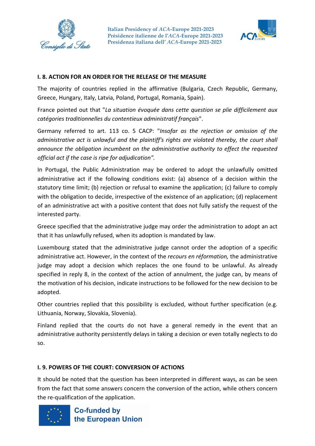



### **I. 8. ACTION FOR AN ORDER FOR THE RELEASE OF THE MEASURE**

The majority of countries replied in the affirmative (Bulgaria, Czech Republic, Germany, Greece, Hungary, Italy, Latvia, Poland, Portugal, Romania, Spain).

France pointed out that "*La situation évoquée dans cette question se plie difficilement aux catégories traditionnelles du contentieux administratif français*".

Germany referred to art. 113 co. 5 CACP: "*Insofar as the rejection or omission of the administrative act is unlawful and the plaintiff's rights are violated thereby, the court shall announce the obligation incumbent on the administrative authority to effect the requested official act if the case is ripe for adjudication".*

In Portugal, the Public Administration may be ordered to adopt the unlawfully omitted administrative act if the following conditions exist: (a) absence of a decision within the statutory time limit; (b) rejection or refusal to examine the application; (c) failure to comply with the obligation to decide, irrespective of the existence of an application; (d) replacement of an administrative act with a positive content that does not fully satisfy the request of the interested party.

Greece specified that the administrative judge may order the administration to adopt an act that it has unlawfully refused, when its adoption is mandated by law.

Luxembourg stated that the administrative judge cannot order the adoption of a specific administrative act. However, in the context of the *recours en réformation,* the administrative judge may adopt a decision which replaces the one found to be unlawful. As already specified in reply 8, in the context of the action of annulment, the judge can, by means of the motivation of his decision, indicate instructions to be followed for the new decision to be adopted.

Other countries replied that this possibility is excluded, without further specification (e.g. Lithuania, Norway, Slovakia, Slovenia).

Finland replied that the courts do not have a general remedy in the event that an administrative authority persistently delays in taking a decision or even totally neglects to do so.

#### **I. 9. POWERS OF THE COURT: CONVERSION OF ACTIONS**

It should be noted that the question has been interpreted in different ways, as can be seen from the fact that some answers concern the conversion of the action, while others concern the re-qualification of the application.

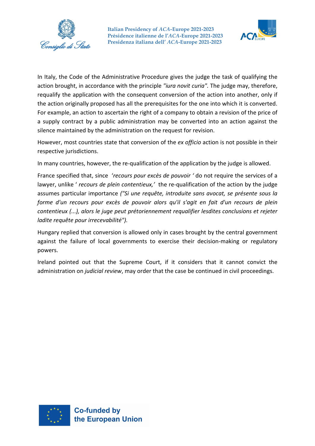



In Italy, the Code of the Administrative Procedure gives the judge the task of qualifying the action brought, in accordance with the principle *"iura novit curia".* The judge may, therefore, requalify the application with the consequent conversion of the action into another, only if the action originally proposed has all the prerequisites for the one into which it is converted. For example, an action to ascertain the right of a company to obtain a revision of the price of a supply contract by a public administration may be converted into an action against the silence maintained by the administration on the request for revision.

However, most countries state that conversion of the *ex officio* action is not possible in their respective jurisdictions.

In many countries, however, the re-qualification of the application by the judge is allowed.

France specified that, since '*recours pour excès de pouvoir '* do not require the services of a lawyer, unlike ' *recours de plein contentieux,'* the re-qualification of the action by the judge assumes particular importance *("Si une requête, introduite sans avocat, se présente sous la forme d'un recours pour excès de pouvoir alors qu'il s'agit en fait d'un recours de plein contentieux (...), alors le juge peut prétoriennement requalifier lesdites conclusions et rejeter ladite requête pour irrecevabilité").*

Hungary replied that conversion is allowed only in cases brought by the central government against the failure of local governments to exercise their decision-making or regulatory powers.

Ireland pointed out that the Supreme Court, if it considers that it cannot convict the administration on *judicial review*, may order that the case be continued in civil proceedings.

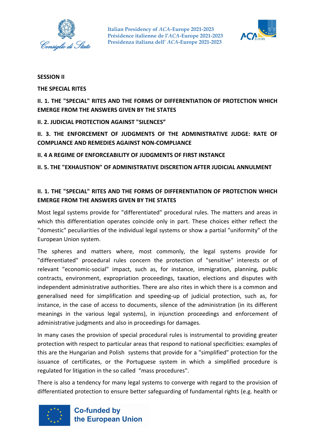



#### **SESSION II**

**THE SPECIAL RITES**

**II. 1. THE "SPECIAL" RITES AND THE FORMS OF DIFFERENTIATION OF PROTECTION WHICH EMERGE FROM THE ANSWERS GIVEN BY THE STATES** 

**II. 2. JUDICIAL PROTECTION AGAINST "SILENCES"** 

**II. 3. THE ENFORCEMENT OF JUDGMENTS OF THE ADMINISTRATIVE JUDGE: RATE OF COMPLIANCE AND REMEDIES AGAINST NON-COMPLIANCE** 

**II. 4 A REGIME OF ENFORCEABILITY OF JUDGMENTS OF FIRST INSTANCE**

**II. 5. THE "EXHAUSTION" OF ADMINISTRATIVE DISCRETION AFTER JUDICIAL ANNULMENT** 

# **II. 1. THE "SPECIAL" RITES AND THE FORMS OF DIFFERENTIATION OF PROTECTION WHICH EMERGE FROM THE ANSWERS GIVEN BY THE STATES**

Most legal systems provide for "differentiated" procedural rules. The matters and areas in which this differentiation operates coincide only in part. These choices either reflect the "domestic" peculiarities of the individual legal systems or show a partial "uniformity" of the European Union system.

The spheres and matters where, most commonly, the legal systems provide for "differentiated" procedural rules concern the protection of "sensitive" interests or of relevant "economic-social" impact, such as, for instance, immigration, planning, public contracts, environment, expropriation proceedings, taxation, elections and disputes with independent administrative authorities. There are also rites in which there is a common and generalised need for simplification and speeding-up of judicial protection, such as, for instance, in the case of access to documents, silence of the administration (in its different meanings in the various legal systems), in injunction proceedings and enforcement of administrative judgments and also in proceedings for damages.

In many cases the provision of special procedural rules is instrumental to providing greater protection with respect to particular areas that respond to national specificities: examples of this are the Hungarian and Polish systems that provide for a "simplified" protection for the issuance of certificates, or the Portuguese system in which a simplified procedure is regulated for litigation in the so called "mass procedures".

There is also a tendency for many legal systems to converge with regard to the provision of differentiated protection to ensure better safeguarding of fundamental rights (e.g. health or

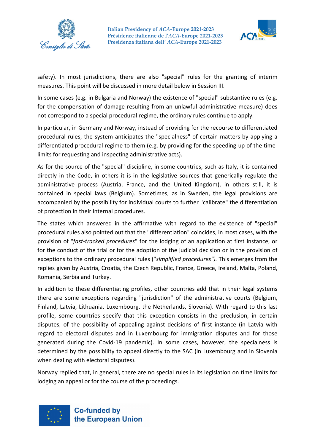



safety). In most jurisdictions, there are also "special" rules for the granting of interim measures. This point will be discussed in more detail below in Session III.

In some cases (e.g. in Bulgaria and Norway) the existence of "special" substantive rules (e.g. for the compensation of damage resulting from an unlawful administrative measure) does not correspond to a special procedural regime, the ordinary rules continue to apply.

In particular, in Germany and Norway, instead of providing for the recourse to differentiated procedural rules, the system anticipates the "specialness" of certain matters by applying a differentiated procedural regime to them (e.g. by providing for the speeding-up of the timelimits for requesting and inspecting administrative acts).

As for the source of the "special" discipline, in some countries, such as Italy, it is contained directly in the Code, in others it is in the legislative sources that generically regulate the administrative process (Austria, France, and the United Kingdom), in others still, it is contained in special laws (Belgium). Sometimes, as in Sweden, the legal provisions are accompanied by the possibility for individual courts to further "calibrate" the differentiation of protection in their internal procedures.

The states which answered in the affirmative with regard to the existence of "special" procedural rules also pointed out that the "differentiation" coincides, in most cases, with the provision of "*fast-tracked procedures*" for the lodging of an application at first instance, or for the conduct of the trial or for the adoption of the judicial decision or in the provision of exceptions to the ordinary procedural rules ("*simplified procedures").* This emerges from the replies given by Austria, Croatia, the Czech Republic, France, Greece, Ireland, Malta, Poland, Romania, Serbia and Turkey.

In addition to these differentiating profiles, other countries add that in their legal systems there are some exceptions regarding "jurisdiction" of the administrative courts (Belgium, Finland, Latvia, Lithuania, Luxembourg, the Netherlands, Slovenia). With regard to this last profile, some countries specify that this exception consists in the preclusion, in certain disputes, of the possibility of appealing against decisions of first instance (in Latvia with regard to electoral disputes and in Luxembourg for immigration disputes and for those generated during the Covid-19 pandemic). In some cases, however, the specialness is determined by the possibility to appeal directly to the SAC (in Luxembourg and in Slovenia when dealing with electoral disputes).

Norway replied that, in general, there are no special rules in its legislation on time limits for lodging an appeal or for the course of the proceedings.

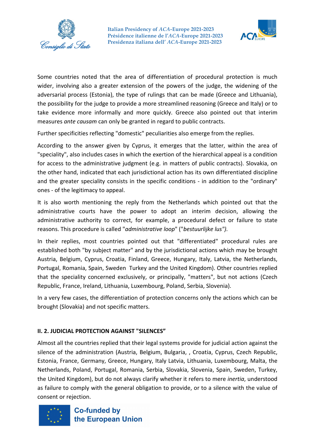



Some countries noted that the area of differentiation of procedural protection is much wider, involving also a greater extension of the powers of the judge, the widening of the adversarial process (Estonia), the type of rulings that can be made (Greece and Lithuania), the possibility for the judge to provide a more streamlined reasoning (Greece and Italy) or to take evidence more informally and more quickly. Greece also pointed out that interim measures *ante causam* can only be granted in regard to public contracts.

Further specificities reflecting "domestic" peculiarities also emerge from the replies.

According to the answer given by Cyprus, it emerges that the latter, within the area of "speciality", also includes cases in which the exertion of the hierarchical appeal is a condition for access to the administrative judgment (e.g. in matters of public contracts). Slovakia, on the other hand, indicated that each jurisdictional action has its own differentiated discipline and the greater speciality consists in the specific conditions - in addition to the "ordinary" ones - of the legitimacy to appeal.

It is also worth mentioning the reply from the Netherlands which pointed out that the administrative courts have the power to adopt an interim decision, allowing the administrative authority to correct, for example, a procedural defect or failure to state reasons. This procedure is called "*administrative loop*" ("*bestuurlijke lus").*

In their replies, most countries pointed out that "differentiated" procedural rules are established both "by subject matter" and by the jurisdictional actions which may be brought Austria, Belgium, Cyprus, Croatia, Finland, Greece, Hungary, Italy, Latvia, the Netherlands, Portugal, Romania, Spain, Sweden Turkey and the United Kingdom). Other countries replied that the speciality concerned exclusively, or principally, "matters", but not actions (Czech Republic, France, Ireland, Lithuania, Luxembourg, Poland, Serbia, Slovenia).

In a very few cases, the differentiation of protection concerns only the actions which can be brought (Slovakia) and not specific matters.

#### **II. 2. JUDICIAL PROTECTION AGAINST "SILENCES"**

Almost all the countries replied that their legal systems provide for judicial action against the silence of the administration (Austria, Belgium, Bulgaria, , Croatia, Cyprus, Czech Republic, Estonia, France, Germany, Greece, Hungary, Italy Latvia, Lithuania, Luxembourg, Malta, the Netherlands, Poland, Portugal, Romania, Serbia, Slovakia, Slovenia, Spain, Sweden, Turkey, the United Kingdom), but do not always clarify whether it refers to mere *inertia*, understood as failure to comply with the general obligation to provide, or to a silence with the value of consent or rejection.

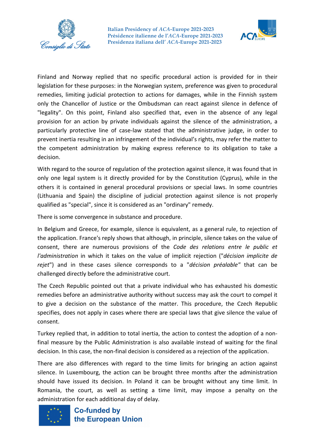



Finland and Norway replied that no specific procedural action is provided for in their legislation for these purposes: in the Norwegian system, preference was given to procedural remedies, limiting judicial protection to actions for damages, while in the Finnish system only the Chancellor of Justice or the Ombudsman can react against silence in defence of "legality". On this point, Finland also specified that, even in the absence of any legal provision for an action by private individuals against the silence of the administration, a particularly protective line of case-law stated that the administrative judge, in order to prevent inertia resulting in an infringement of the individual's rights, may refer the matter to the competent administration by making express reference to its obligation to take a decision.

With regard to the source of regulation of the protection against silence, it was found that in only one legal system is it directly provided for by the Constitution (Cyprus), while in the others it is contained in general procedural provisions or special laws. In some countries (Lithuania and Spain) the discipline of judicial protection against silence is not properly qualified as "special", since it is considered as an "ordinary" remedy.

There is some convergence in substance and procedure.

In Belgium and Greece, for example, silence is equivalent, as a general rule, to rejection of the application. France's reply shows that although, in principle, silence takes on the value of consent, there are numerous provisions of the *Code des relations entre le public et l'administration* in which it takes on the value of implicit rejection ("*décision implicite de rejet*") and in these cases silence corresponds to a "*décision préalable"* that can be challenged directly before the administrative court.

The Czech Republic pointed out that a private individual who has exhausted his domestic remedies before an administrative authority without success may ask the court to compel it to give a decision on the substance of the matter. This procedure, the Czech Republic specifies, does not apply in cases where there are special laws that give silence the value of consent.

Turkey replied that, in addition to total inertia, the action to contest the adoption of a nonfinal measure by the Public Administration is also available instead of waiting for the final decision. In this case, the non-final decision is considered as a rejection of the application.

There are also differences with regard to the time limits for bringing an action against silence. In Luxembourg, the action can be brought three months after the administration should have issued its decision. In Poland it can be brought without any time limit. In Romania, the court, as well as setting a time limit, may impose a penalty on the administration for each additional day of delay.

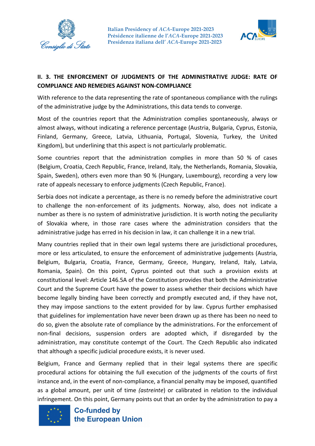



# **II. 3. THE ENFORCEMENT OF JUDGMENTS OF THE ADMINISTRATIVE JUDGE: RATE OF COMPLIANCE AND REMEDIES AGAINST NON-COMPLIANCE**

With reference to the data representing the rate of spontaneous compliance with the rulings of the administrative judge by the Administrations, this data tends to converge.

Most of the countries report that the Administration complies spontaneously, always or almost always, without indicating a reference percentage (Austria, Bulgaria, Cyprus, Estonia, Finland, Germany, Greece, Latvia, Lithuania, Portugal, Slovenia, Turkey, the United Kingdom), but underlining that this aspect is not particularly problematic.

Some countries report that the administration complies in more than 50 % of cases (Belgium, Croatia, Czech Republic, France, Ireland, Italy, the Netherlands, Romania, Slovakia, Spain, Sweden), others even more than 90 % (Hungary, Luxembourg), recording a very low rate of appeals necessary to enforce judgments (Czech Republic, France).

Serbia does not indicate a percentage, as there is no remedy before the administrative court to challenge the non-enforcement of its judgments. Norway, also, does not indicate a number as there is no system of administrative jurisdiction. It is worth noting the peculiarity of Slovakia where, in those rare cases where the administration considers that the administrative judge has erred in his decision in law, it can challenge it in a new trial.

Many countries replied that in their own legal systems there are jurisdictional procedures, more or less articulated, to ensure the enforcement of administrative judgements (Austria, Belgium, Bulgaria, Croatia, France, Germany, Greece, Hungary, Ireland, Italy, Latvia, Romania, Spain). On this point, Cyprus pointed out that such a provision exists at constitutional level: Article 146.5A of the Constitution provides that both the Administrative Court and the Supreme Court have the power to assess whether their decisions which have become legally binding have been correctly and promptly executed and, if they have not, they may impose sanctions to the extent provided for by law. Cyprus further emphasised that guidelines for implementation have never been drawn up as there has been no need to do so, given the absolute rate of compliance by the administrations. For the enforcement of non-final decisions, suspension orders are adopted which, if disregarded by the administration, may constitute contempt of the Court. The Czech Republic also indicated that although a specific judicial procedure exists, it is never used.

Belgium, France and Germany replied that in their legal systems there are specific procedural actions for obtaining the full execution of the judgments of the courts of first instance and, in the event of non-compliance, a financial penalty may be imposed, quantified as a global amount, per unit of time *(astreinte*) or calibrated in relation to the individual infringement. On this point, Germany points out that an order by the administration to pay a

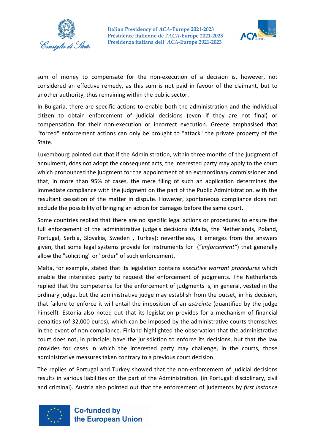



sum of money to compensate for the non-execution of a decision is, however, not considered an effective remedy, as this sum is not paid in favour of the claimant, but to another authority, thus remaining within the public sector.

In Bulgaria, there are specific actions to enable both the administration and the individual citizen to obtain enforcement of judicial decisions (even if they are not final) or compensation for their non-execution or incorrect execution. Greece emphasised that "forced" enforcement actions can only be brought to "attack" the private property of the State.

Luxembourg pointed out that if the Administration, within three months of the judgment of annulment, does not adopt the consequent acts, the interested party may apply to the court which pronounced the judgment for the appointment of an extraordinary commissioner and that, in more than 95% of cases, the mere filing of such an application determines the immediate compliance with the judgment on the part of the Public Administration, with the resultant cessation of the matter in dispute. However, spontaneous compliance does not exclude the possibility of bringing an action for damages before the same court.

Some countries replied that there are no specific legal actions or procedures to ensure the full enforcement of the administrative judge's decisions (Malta, the Netherlands, Poland, Portugal, Serbia, Slovakia, Sweden , Turkey): nevertheless, it emerges from the answers given, that some legal systems provide for instruments for ("*enforcement"*) that generally allow the "soliciting" or "order" of such enforcement.

Malta, for example, stated that its legislation contains *executive warrant procedures* which enable the interested party to request the enforcement of judgments. The Netherlands replied that the competence for the enforcement of judgments is, in general, vested in the ordinary judge, but the administrative judge may establish from the outset, in his decision, that failure to enforce it will entail the imposition of an *astreinte* (quantified by the judge himself). Estonia also noted out that its legislation provides for a mechanism of financial penalties (of 32,000 euros), which can be imposed by the administrative courts themselves in the event of non-compliance. Finland highlighted the observation that the administrative court does not, in principle, have the jurisdiction to enforce its decisions, but that the law provides for cases in which the interested party may challenge, in the courts, those administrative measures taken contrary to a previous court decision.

The replies of Portugal and Turkey showed that the non-enforcement of judicial decisions results in various liabilities on the part of the Administration. (in Portugal: disciplinary, civil and criminal). Austria also pointed out that the enforcement of judgments by *first instance* 

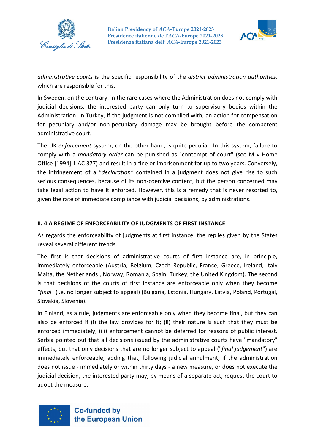



*administrative courts* is the specific responsibility of the *district administration authorities,* which are responsible for this.

In Sweden, on the contrary, in the rare cases where the Administration does not comply with judicial decisions, the interested party can only turn to supervisory bodies within the Administration. In Turkey, if the judgment is not complied with, an action for compensation for pecuniary and/or non-pecuniary damage may be brought before the competent administrative court.

The UK *enforcement* system, on the other hand, is quite peculiar. In this system, failure to comply with a *mandatory order* can be punished as "contempt of court" (see M v Home Office [1994] 1 AC 377) and result in a fine or imprisonment for up to two years. Conversely, the infringement of a "*declaration"* contained in a judgment does not give rise to such serious consequences, because of its non-coercive content, but the person concerned may take legal action to have it enforced. However, this is a remedy that is never resorted to, given the rate of immediate compliance with judicial decisions, by administrations.

### **II. 4 A REGIME OF ENFORCEABILITY OF JUDGMENTS OF FIRST INSTANCE**

As regards the enforceability of judgments at first instance, the replies given by the States reveal several different trends.

The first is that decisions of administrative courts of first instance are, in principle, immediately enforceable (Austria, Belgium, Czech Republic, France, Greece, Ireland, Italy Malta, the Netherlands , Norway, Romania, Spain, Turkey, the United Kingdom). The second is that decisions of the courts of first instance are enforceable only when they become *"final*" (i.e. no longer subject to appeal) (Bulgaria, Estonia, Hungary, Latvia, Poland, Portugal, Slovakia, Slovenia).

In Finland, as a rule, judgments are enforceable only when they become final, but they can also be enforced if (i) the law provides for it; (ii) their nature is such that they must be enforced immediately; (iii) enforcement cannot be deferred for reasons of public interest. Serbia pointed out that all decisions issued by the administrative courts have "mandatory" effects, but that only decisions that are no longer subject to appeal ("*final judgement*") are immediately enforceable, adding that, following judicial annulment, if the administration does not issue - immediately or within thirty days - a new measure, or does not execute the judicial decision, the interested party may, by means of a separate act, request the court to adopt the measure.

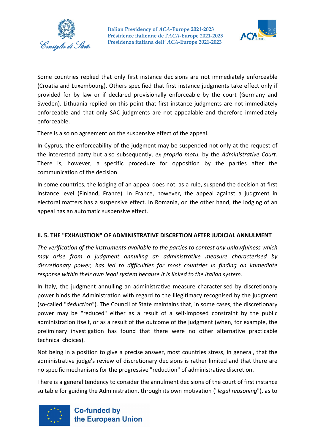



Some countries replied that only first instance decisions are not immediately enforceable (Croatia and Luxembourg). Others specified that first instance judgments take effect only if provided for by law or if declared provisionally enforceable by the court (Germany and Sweden). Lithuania replied on this point that first instance judgments are not immediately enforceable and that only SAC judgments are not appealable and therefore immediately enforceable.

There is also no agreement on the suspensive effect of the appeal.

In Cyprus, the enforceability of the judgment may be suspended not only at the request of the interested party but also subsequently, *ex proprio motu*, by the *Administrative Court.* There is, however, a specific procedure for opposition by the parties after the communication of the decision.

In some countries, the lodging of an appeal does not, as a rule, suspend the decision at first instance level (Finland, France). In France, however, the appeal against a judgment in electoral matters has a suspensive effect. In Romania, on the other hand, the lodging of an appeal has an automatic suspensive effect.

#### **II. 5. THE "EXHAUSTION" OF ADMINISTRATIVE DISCRETION AFTER JUDICIAL ANNULMENT**

*The verification of the instruments available to the parties to contest any unlawfulness which may arise from a judgment annulling an administrative measure characterised by discretionary power, has led to difficulties for most countries in finding an immediate response within their own legal system because it is linked to the Italian system.*

In Italy, the judgment annulling an administrative measure characterised by discretionary power binds the Administration with regard to the illegitimacy recognised by the judgment (so-called "*deduction*"). The Council of State maintains that, in some cases, the discretionary power may be "reduced" either as a result of a self-imposed constraint by the public administration itself, or as a result of the outcome of the judgment (when, for example, the preliminary investigation has found that there were no other alternative practicable technical choices).

Not being in a position to give a precise answer, most countries stress, in general, that the administrative judge's review of discretionary decisions is rather limited and that there are no specific mechanisms for the progressive "reduction" of administrative discretion.

There is a general tendency to consider the annulment decisions of the court of first instance suitable for guiding the Administration, through its own motivation ("*legal reasoning*"), as to

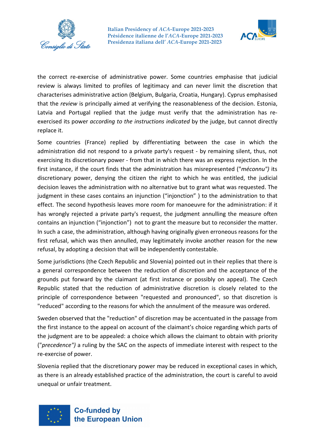



the correct re-exercise of administrative power. Some countries emphasise that judicial review is always limited to profiles of legitimacy and can never limit the discretion that characterises administrative action (Belgium, Bulgaria, Croatia, Hungary). Cyprus emphasised that the *review* is principally aimed at verifying the reasonableness of the decision. Estonia, Latvia and Portugal replied that the judge must verify that the administration has reexercised its power *according to the instructions indicated* by the judge, but cannot directly replace it.

Some countries (France) replied by differentiating between the case in which the administration did not respond to a private party's request - by remaining silent, thus, not exercising its discretionary power - from that in which there was an express rejection. In the first instance, if the court finds that the administration has misrepresented ("*méconnu")* its discretionary power, denying the citizen the right to which he was entitled, the judicial decision leaves the administration with no alternative but to grant what was requested. The judgment in these cases contains an injunction ("injonction" ) to the administration to that effect. The second hypothesis leaves more room for manoeuvre for the administration: if it has wrongly rejected a private party's request, the judgment annulling the measure often contains an injunction ("injonction") not to grant the measure but to reconsider the matter. In such a case, the administration, although having originally given erroneous reasons for the first refusal, which was then annulled, may legitimately invoke another reason for the new refusal, by adopting a decision that will be independently contestable.

Some jurisdictions (the Czech Republic and Slovenia) pointed out in their replies that there is a general correspondence between the reduction of discretion and the acceptance of the grounds put forward by the claimant (at first instance or possibly on appeal). The Czech Republic stated that the reduction of administrative discretion is closely related to the principle of correspondence between "requested and pronounced", so that discretion is "reduced" according to the reasons for which the annulment of the measure was ordered.

Sweden observed that the "reduction" of discretion may be accentuated in the passage from the first instance to the appeal on account of the claimant's choice regarding which parts of the judgment are to be appealed: a choice which allows the claimant to obtain with priority ("*precedence")* a ruling by the SAC on the aspects of immediate interest with respect to the re-exercise of power.

Slovenia replied that the discretionary power may be reduced in exceptional cases in which, as there is an already established practice of the administration, the court is careful to avoid unequal or unfair treatment.

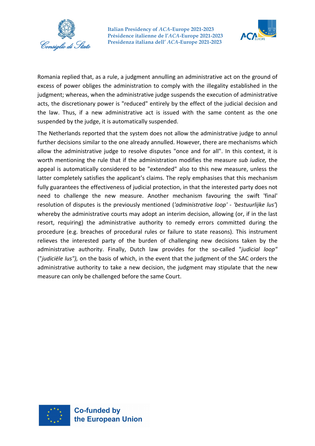



Romania replied that, as a rule, a judgment annulling an administrative act on the ground of excess of power obliges the administration to comply with the illegality established in the judgment; whereas, when the administrative judge suspends the execution of administrative acts, the discretionary power is "reduced" entirely by the effect of the judicial decision and the law. Thus, if a new administrative act is issued with the same content as the one suspended by the judge, it is automatically suspended.

The Netherlands reported that the system does not allow the administrative judge to annul further decisions similar to the one already annulled. However, there are mechanisms which allow the administrative judge to resolve disputes "once and for all". In this context, it is worth mentioning the rule that if the administration modifies the measure *sub iudice,* the appeal is automatically considered to be "extended" also to this new measure, unless the latter completely satisfies the applicant's claims. The reply emphasises that this mechanism fully guarantees the effectiveness of judicial protection, in that the interested party does not need to challenge the new measure. Another mechanism favouring the swift 'final' resolution of disputes is the previously mentioned (*'administrative loop' - 'bestuurlijke lus'*) whereby the administrative courts may adopt an interim decision, allowing (or, if in the last resort, requiring) the administrative authority to remedy errors committed during the procedure (e.g. breaches of procedural rules or failure to state reasons). This instrument relieves the interested party of the burden of challenging new decisions taken by the administrative authority. Finally, Dutch law provides for the so-called "*judicial loop"* ("*judiciële lus"),* on the basis of which, in the event that the judgment of the SAC orders the administrative authority to take a new decision, the judgment may stipulate that the new measure can only be challenged before the same Court.

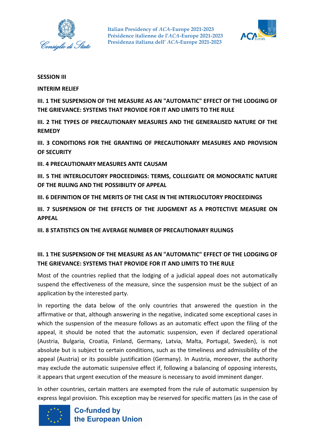



#### **SESSION III**

**INTERIM RELIEF**

**III. 1 THE SUSPENSION OF THE MEASURE AS AN "AUTOMATIC" EFFECT OF THE LODGING OF THE GRIEVANCE: SYSTEMS THAT PROVIDE FOR IT AND LIMITS TO THE RULE**

**III. 2 THE TYPES OF PRECAUTIONARY MEASURES AND THE GENERALISED NATURE OF THE REMEDY**

**III. 3 CONDITIONS FOR THE GRANTING OF PRECAUTIONARY MEASURES AND PROVISION OF SECURITY**

**III. 4 PRECAUTIONARY MEASURES ANTE CAUSAM**

**III. 5 THE INTERLOCUTORY PROCEEDINGS: TERMS, COLLEGIATE OR MONOCRATIC NATURE OF THE RULING AND THE POSSIBILITY OF APPEAL**

**III. 6 DEFINITION OF THE MERITS OF THE CASE IN THE INTERLOCUTORY PROCEEDINGS**

**III. 7 SUSPENSION OF THE EFFECTS OF THE JUDGMENT AS A PROTECTIVE MEASURE ON APPEAL**

**III. 8 STATISTICS ON THE AVERAGE NUMBER OF PRECAUTIONARY RULINGS**

# **III. 1 THE SUSPENSION OF THE MEASURE AS AN "AUTOMATIC" EFFECT OF THE LODGING OF THE GRIEVANCE: SYSTEMS THAT PROVIDE FOR IT AND LIMITS TO THE RULE**

Most of the countries replied that the lodging of a judicial appeal does not automatically suspend the effectiveness of the measure, since the suspension must be the subject of an application by the interested party.

In reporting the data below of the only countries that answered the question in the affirmative or that, although answering in the negative, indicated some exceptional cases in which the suspension of the measure follows as an automatic effect upon the filing of the appeal, it should be noted that the automatic suspension, even if declared operational (Austria, Bulgaria, Croatia, Finland, Germany, Latvia, Malta, Portugal, Sweden), is not absolute but is subject to certain conditions, such as the timeliness and admissibility of the appeal (Austria) or its possible justification (Germany). In Austria, moreover, the authority may exclude the automatic suspensive effect if, following a balancing of opposing interests, it appears that urgent execution of the measure is necessary to avoid imminent danger.

In other countries, certain matters are exempted from the rule of automatic suspension by express legal provision. This exception may be reserved for specific matters (as in the case of

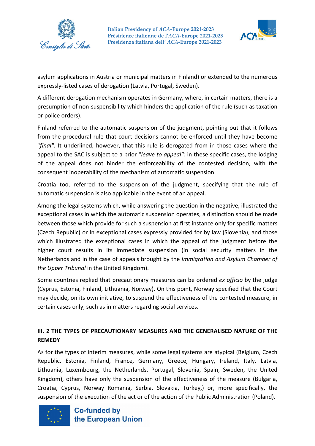



asylum applications in Austria or municipal matters in Finland) or extended to the numerous expressly-listed cases of derogation (Latvia, Portugal, Sweden).

A different derogation mechanism operates in Germany, where, in certain matters, there is a presumption of non-suspensibility which hinders the application of the rule (such as taxation or police orders).

Finland referred to the automatic suspension of the judgment, pointing out that it follows from the procedural rule that court decisions cannot be enforced until they have become "*final".* It underlined, however, that this rule is derogated from in those cases where the appeal to the SAC is subject to a prior "*leave to appeal":* in these specific cases, the lodging of the appeal does not hinder the enforceability of the contested decision, with the consequent inoperability of the mechanism of automatic suspension.

Croatia too, referred to the suspension of the judgment, specifying that the rule of automatic suspension is also applicable in the event of an appeal.

Among the legal systems which, while answering the question in the negative, illustrated the exceptional cases in which the automatic suspension operates, a distinction should be made between those which provide for such a suspension at first instance only for specific matters (Czech Republic) or in exceptional cases expressly provided for by law (Slovenia), and those which illustrated the exceptional cases in which the appeal of the judgment before the higher court results in its immediate suspension (in social security matters in the Netherlands and in the case of appeals brought by the *Immigration and Asylum Chamber of the Upper Tribunal* in the United Kingdom).

Some countries replied that precautionary measures can be ordered *ex officio* by the judge (Cyprus, Estonia, Finland, Lithuania, Norway). On this point, Norway specified that the Court may decide, on its own initiative, to suspend the effectiveness of the contested measure, in certain cases only, such as in matters regarding social services.

# **III. 2 THE TYPES OF PRECAUTIONARY MEASURES AND THE GENERALISED NATURE OF THE REMEDY**

As for the types of interim measures, while some legal systems are atypical (Belgium, Czech Republic, Estonia, Finland, France, Germany, Greece, Hungary, Ireland, Italy, Latvia, Lithuania, Luxembourg, the Netherlands, Portugal, Slovenia, Spain, Sweden, the United Kingdom), others have only the suspension of the effectiveness of the measure (Bulgaria, Croatia, Cyprus, Norway Romania, Serbia, Slovakia, Turkey,) or, more specifically, the suspension of the execution of the act or of the action of the Public Administration (Poland).

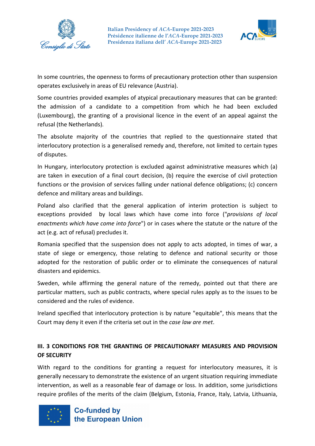



In some countries, the openness to forms of precautionary protection other than suspension operates exclusively in areas of EU relevance (Austria).

Some countries provided examples of atypical precautionary measures that can be granted: the admission of a candidate to a competition from which he had been excluded (Luxembourg), the granting of a provisional licence in the event of an appeal against the refusal (the Netherlands).

The absolute majority of the countries that replied to the questionnaire stated that interlocutory protection is a generalised remedy and, therefore, not limited to certain types of disputes.

In Hungary, interlocutory protection is excluded against administrative measures which (a) are taken in execution of a final court decision, (b) require the exercise of civil protection functions or the provision of services falling under national defence obligations; (c) concern defence and military areas and buildings.

Poland also clarified that the general application of interim protection is subject to exceptions provided by local laws which have come into force ("*provisions of local enactments which have come into force*") or in cases where the statute or the nature of the act (e.g. act of refusal) precludes it.

Romania specified that the suspension does not apply to acts adopted, in times of war, a state of siege or emergency, those relating to defence and national security or those adopted for the restoration of public order or to eliminate the consequences of natural disasters and epidemics.

Sweden, while affirming the general nature of the remedy, pointed out that there are particular matters, such as public contracts, where special rules apply as to the issues to be considered and the rules of evidence.

Ireland specified that interlocutory protection is by nature "equitable", this means that the Court may deny it even if the criteria set out in the *case law are met*.

# **III. 3 CONDITIONS FOR THE GRANTING OF PRECAUTIONARY MEASURES AND PROVISION OF SECURITY**

With regard to the conditions for granting a request for interlocutory measures, it is generally necessary to demonstrate the existence of an urgent situation requiring immediate intervention, as well as a reasonable fear of damage or loss. In addition, some jurisdictions require profiles of the merits of the claim (Belgium, Estonia, France, Italy, Latvia, Lithuania,

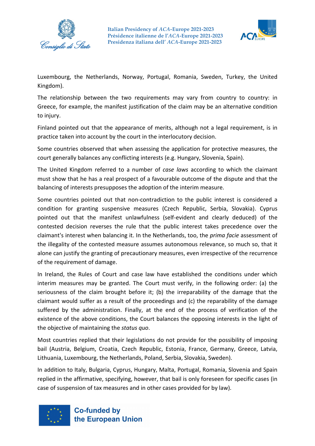



Luxembourg, the Netherlands, Norway, Portugal, Romania, Sweden, Turkey, the United Kingdom).

The relationship between the two requirements may vary from country to country: in Greece, for example, the manifest justification of the claim may be an alternative condition to injury.

Finland pointed out that the appearance of merits, although not a legal requirement, is in practice taken into account by the court in the interlocutory decision.

Some countries observed that when assessing the application for protective measures, the court generally balances any conflicting interests (e.g. Hungary, Slovenia, Spain).

The United Kingdom referred to a number of *case laws* according to which the claimant must show that he has a real prospect of a favourable outcome of the dispute and that the balancing of interests presupposes the adoption of the interim measure.

Some countries pointed out that non-contradiction to the public interest is considered a condition for granting suspensive measures (Czech Republic, Serbia, Slovakia). Cyprus pointed out that the manifest unlawfulness (self-evident and clearly deduced) of the contested decision reverses the rule that the public interest takes precedence over the claimant's interest when balancing it. In the Netherlands, too, the *prima facie* assessment of the illegality of the contested measure assumes autonomous relevance, so much so, that it alone can justify the granting of precautionary measures, even irrespective of the recurrence of the requirement of damage.

In Ireland, the Rules of Court and case law have established the conditions under which interim measures may be granted. The Court must verify, in the following order: (a) the seriousness of the claim brought before it; (b) the irreparability of the damage that the claimant would suffer as a result of the proceedings and (c) the reparability of the damage suffered by the administration. Finally, at the end of the process of verification of the existence of the above conditions, the Court balances the opposing interests in the light of the objective of maintaining the *status quo*.

Most countries replied that their legislations do not provide for the possibility of imposing bail (Austria, Belgium, Croatia, Czech Republic, Estonia, France, Germany, Greece, Latvia, Lithuania, Luxembourg, the Netherlands, Poland, Serbia, Slovakia, Sweden).

In addition to Italy, Bulgaria, Cyprus, Hungary, Malta, Portugal, Romania, Slovenia and Spain replied in the affirmative, specifying, however, that bail is only foreseen for specific cases (in case of suspension of tax measures and in other cases provided for by law).

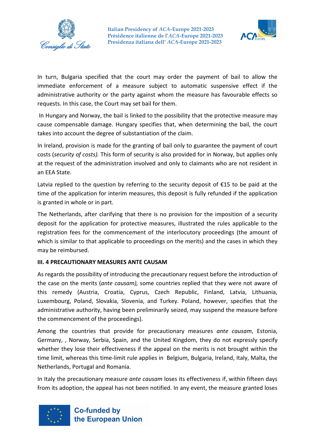



In turn, Bulgaria specified that the court may order the payment of bail to allow the immediate enforcement of a measure subject to automatic suspensive effect if the administrative authority or the party against whom the measure has favourable effects so requests. In this case, the Court may set bail for them.

In Hungary and Norway, the bail is linked to the possibility that the protective measure may cause compensable damage. Hungary specifies that, when determining the bail, the court takes into account the degree of substantiation of the claim.

In Ireland, provision is made for the granting of bail only to guarantee the payment of court costs (*security of costs).* This form of security is also provided for in Norway, but applies only at the request of the administration involved and only to claimants who are not resident in an EEA State.

Latvia replied to the question by referring to the security deposit of €15 to be paid at the time of the application for interim measures, this deposit is fully refunded if the application is granted in whole or in part.

The Netherlands, after clarifying that there is no provision for the imposition of a security deposit for the application for protective measures, illustrated the rules applicable to the registration fees for the commencement of the interlocutory proceedings (the amount of which is similar to that applicable to proceedings on the merits) and the cases in which they may be reimbursed.

#### **III. 4 PRECAUTIONARY MEASURES ANTE CAUSAM**

As regards the possibility of introducing the precautionary request before the introduction of the case on the merits (*ante causam),* some countries replied that they were not aware of this remedy (Austria, Croatia, Cyprus, Czech Republic, Finland, Latvia, Lithuania, Luxembourg, Poland, Slovakia, Slovenia, and Turkey. Poland, however, specifies that the administrative authority, having been preliminarily seized, may suspend the measure before the commencement of the proceedings).

Among the countries that provide for precautionary measures *ante causam*, Estonia, Germany, , Norway, Serbia, Spain, and the United Kingdom, they do not expressly specify whether they lose their effectiveness if the appeal on the merits is not brought within the time limit, whereas this time-limit rule applies in Belgium, Bulgaria, Ireland, Italy, Malta, the Netherlands, Portugal and Romania.

In Italy the precautionary measure *ante causam* loses its effectiveness if, within fifteen days from its adoption, the appeal has not been notified. In any event, the measure granted loses

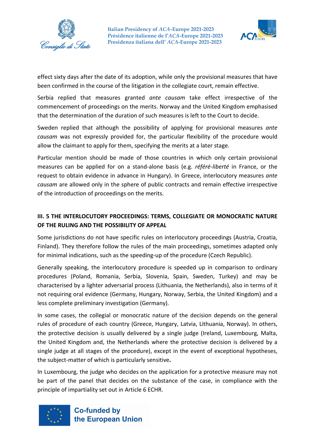



effect sixty days after the date of its adoption, while only the provisional measures that have been confirmed in the course of the litigation in the collegiate court, remain effective.

Serbia replied that measures granted *ante causam* take effect irrespective of the commencement of proceedings on the merits. Norway and the United Kingdom emphasised that the determination of the duration of such measures is left to the Court to decide.

Sweden replied that although the possibility of applying for provisional measures *ante causam* was not expressly provided for, the particular flexibility of the procedure would allow the claimant to apply for them, specifying the merits at a later stage.

Particular mention should be made of those countries in which only certain provisional measures can be applied for on a stand-alone basis (e.g. *référé-liberté* in France, or the request to obtain evidence in advance in Hungary). In Greece, interlocutory measures *ante causam* are allowed only in the sphere of public contracts and remain effective irrespective of the introduction of proceedings on the merits.

# **III. 5 THE INTERLOCUTORY PROCEEDINGS: TERMS, COLLEGIATE OR MONOCRATIC NATURE OF THE RULING AND THE POSSIBILITY OF APPEAL**

Some jurisdictions do not have specific rules on interlocutory proceedings (Austria, Croatia, Finland). They therefore follow the rules of the main proceedings, sometimes adapted only for minimal indications, such as the speeding-up of the procedure (Czech Republic).

Generally speaking, the interlocutory procedure is speeded up in comparison to ordinary procedures (Poland, Romania, Serbia, Slovenia, Spain, Sweden, Turkey) and may be characterised by a lighter adversarial process (Lithuania, the Netherlands), also in terms of it not requiring oral evidence (Germany, Hungary, Norway, Serbia, the United Kingdom) and a less complete preliminary investigation (Germany).

In some cases, the collegial or monocratic nature of the decision depends on the general rules of procedure of each country (Greece, Hungary, Latvia, Lithuania, Norway). In others, the protective decision is usually delivered by a single judge (Ireland, Luxembourg, Malta, the United Kingdom and, the Netherlands where the protective decision is delivered by a single judge at all stages of the procedure), except in the event of exceptional hypotheses, the subject-matter of which is particularly sensitive**.** 

In Luxembourg, the judge who decides on the application for a protective measure may not be part of the panel that decides on the substance of the case, in compliance with the principle of impartiality set out in Article 6 ECHR.

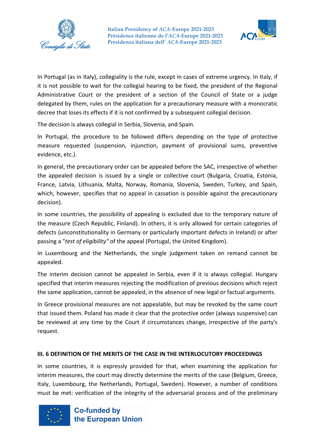



In Portugal (as in Italy), collegiality is the rule, except in cases of extreme urgency. In Italy, if it is not possible to wait for the collegial hearing to be fixed, the president of the Regional Administrative Court or the president of a section of the Council of State or a judge delegated by them, rules on the application for a precautionary measure with a monocratic decree that loses its effects if it is not confirmed by a subsequent collegial decision.

The decision is always collegial in Serbia, Slovenia, and Spain.

In Portugal, the procedure to be followed differs depending on the type of protective measure requested (suspension, injunction, payment of provisional sums, preventive evidence, etc.).

In general, the precautionary order can be appealed before the SAC, irrespective of whether the appealed decision is issued by a single or collective court (Bulgaria, Croatia, Estonia, France, Latvia, Lithuania, Malta, Norway, Romania, Slovenia, Sweden, Turkey, and Spain, which, however, specifies that no appeal in cassation is possible against the precautionary decision).

In some countries, the possibility of appealing is excluded due to the temporary nature of the measure (Czech Republic, Finland). In others, it is only allowed for certain categories of defects (unconstitutionality in Germany or particularly important defects in Ireland) or after passing a "*test of eligibility"* of the appeal (Portugal, the United Kingdom).

In Luxembourg and the Netherlands, the single judgement taken on remand cannot be appealed.

The interim decision cannot be appealed in Serbia, even if it is always collegial. Hungary specified that interim measures rejecting the modification of previous decisions which reject the same application, cannot be appealed, in the absence of new legal or factual arguments.

In Greece provisional measures are not appealable, but may be revoked by the same court that issued them. Poland has made it clear that the protective order (always suspensive) can be reviewed at any time by the Court if circumstances change, irrespective of the party's request.

#### **III. 6 DEFINITION OF THE MERITS OF THE CASE IN THE INTERLOCUTORY PROCEEDINGS**

In some countries, it is expressly provided for that, when examining the application for interim measures, the court may directly determine the merits of the case (Belgium, Greece, Italy, Luxembourg, the Netherlands, Portugal, Sweden). However, a number of conditions must be met: verification of the integrity of the adversarial process and of the preliminary

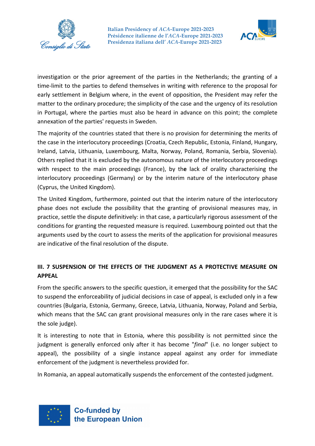



investigation or the prior agreement of the parties in the Netherlands; the granting of a time-limit to the parties to defend themselves in writing with reference to the proposal for early settlement in Belgium where, in the event of opposition, the President may refer the matter to the ordinary procedure; the simplicity of the case and the urgency of its resolution in Portugal, where the parties must also be heard in advance on this point; the complete annexation of the parties' requests in Sweden.

The majority of the countries stated that there is no provision for determining the merits of the case in the interlocutory proceedings (Croatia, Czech Republic, Estonia, Finland, Hungary, Ireland, Latvia, Lithuania, Luxembourg, Malta, Norway, Poland, Romania, Serbia, Slovenia). Others replied that it is excluded by the autonomous nature of the interlocutory proceedings with respect to the main proceedings (France), by th**e** lack of orality characterising the interlocutory proceedings (Germany) or by the interim nature of the interlocutory phase (Cyprus, the United Kingdom).

The United Kingdom, furthermore, pointed out that the interim nature of the interlocutory phase does not exclude the possibility that the granting of provisional measures may, in practice, settle the dispute definitively: in that case, a particularly rigorous assessment of the conditions for granting the requested measure is required. Luxembourg pointed out that the arguments used by the court to assess the merits of the application for provisional measures are indicative of the final resolution of the dispute.

# **III. 7 SUSPENSION OF THE EFFECTS OF THE JUDGMENT AS A PROTECTIVE MEASURE ON APPEAL**

From the specific answers to the specific question, it emerged that the possibility for the SAC to suspend the enforceability of judicial decisions in case of appeal, is excluded only in a few countries (Bulgaria, Estonia, Germany, Greece, Latvia, Lithuania, Norway, Poland and Serbia, which means that the SAC can grant provisional measures only in the rare cases where it is the sole judge).

It is interesting to note that in Estonia, where this possibility is not permitted since the judgment is generally enforced only after it has become "*final*" (i.e. no longer subject to appeal), the possibility of a single instance appeal against any order for immediate enforcement of the judgment is nevertheless provided for.

In Romania, an appeal automatically suspends the enforcement of the contested judgment.

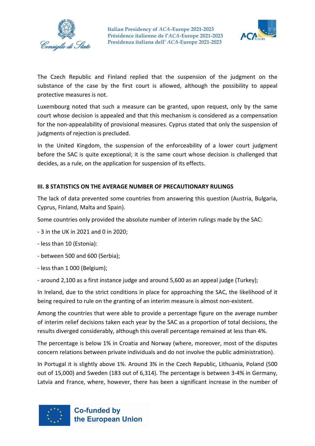



The Czech Republic and Finland replied that the suspension of the judgment on the substance of the case by the first court is allowed, although the possibility to appeal protective measures is not.

Luxembourg noted that such a measure can be granted, upon request, only by the same court whose decision is appealed and that this mechanism is considered as a compensation for the non-appealability of provisional measures. Cyprus stated that only the suspension of judgments of rejection is precluded.

In the United Kingdom, the suspension of the enforceability of a lower court judgment before the SAC is quite exceptional; it is the same court whose decision is challenged that decides, as a rule, on the application for suspension of its effects.

### **III. 8 STATISTICS ON THE AVERAGE NUMBER OF PRECAUTIONARY RULINGS**

The lack of data prevented some countries from answering this question (Austria, Bulgaria, Cyprus, Finland, Malta and Spain).

Some countries only provided the absolute number of interim rulings made by the SAC:

- 3 in the UK in 2021 and 0 in 2020;
- less than 10 (Estonia):
- between 500 and 600 (Serbia);
- less than 1 000 (Belgium);
- around 2,100 as a first instance judge and around 5,600 as an appeal judge (Turkey);

In Ireland, due to the strict conditions in place for approaching the SAC, the likelihood of it being required to rule on the granting of an interim measure is almost non-existent.

Among the countries that were able to provide a percentage figure on the average number of interim relief decisions taken each year by the SAC as a proportion of total decisions, the results diverged considerably, although this overall percentage remained at less than 4%.

The percentage is below 1% in Croatia and Norway (where, moreover, most of the disputes concern relations between private individuals and do not involve the public administration).

In Portugal it is slightly above 1%. Around 3% in the Czech Republic, Lithuania, Poland (500 out of 15,000) and Sweden (183 out of 6,314). The percentage is between 3-4% in Germany, Latvia and France, where, however, there has been a significant increase in the number of